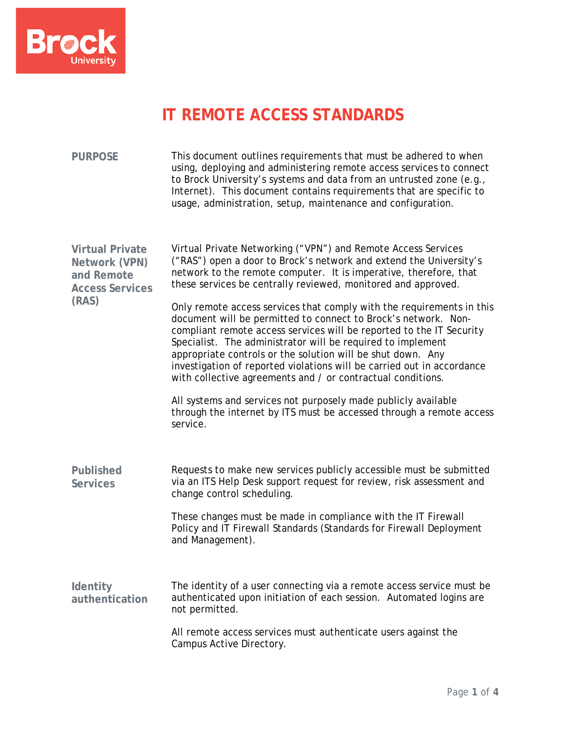

## **IT REMOTE ACCESS STANDARDS**

| <b>PURPOSE</b>                                                                           | This document outlines requirements that must be adhered to when<br>using, deploying and administering remote access services to connect<br>to Brock University's systems and data from an untrusted zone (e.g.,<br>Internet). This document contains requirements that are specific to<br>usage, administration, setup, maintenance and configuration.                                                                                                                                                                                                                                                                                                                                                                                                                                                                               |
|------------------------------------------------------------------------------------------|---------------------------------------------------------------------------------------------------------------------------------------------------------------------------------------------------------------------------------------------------------------------------------------------------------------------------------------------------------------------------------------------------------------------------------------------------------------------------------------------------------------------------------------------------------------------------------------------------------------------------------------------------------------------------------------------------------------------------------------------------------------------------------------------------------------------------------------|
| <b>Virtual Private</b><br>Network (VPN)<br>and Remote<br><b>Access Services</b><br>(RAS) | Virtual Private Networking ("VPN") and Remote Access Services<br>("RAS") open a door to Brock's network and extend the University's<br>network to the remote computer. It is imperative, therefore, that<br>these services be centrally reviewed, monitored and approved.<br>Only remote access services that comply with the requirements in this<br>document will be permitted to connect to Brock's network. Non-<br>compliant remote access services will be reported to the IT Security<br>Specialist. The administrator will be required to implement<br>appropriate controls or the solution will be shut down. Any<br>investigation of reported violations will be carried out in accordance<br>with collective agreements and / or contractual conditions.<br>All systems and services not purposely made publicly available |
| <b>Published</b><br><b>Services</b>                                                      | through the internet by ITS must be accessed through a remote access<br>service.<br>Requests to make new services publicly accessible must be submitted<br>via an ITS Help Desk support request for review, risk assessment and<br>change control scheduling.                                                                                                                                                                                                                                                                                                                                                                                                                                                                                                                                                                         |
| Identity<br>authentication                                                               | These changes must be made in compliance with the IT Firewall<br>Policy and IT Firewall Standards (Standards for Firewall Deployment<br>and Management).<br>The identity of a user connecting via a remote access service must be<br>authenticated upon initiation of each session. Automated logins are                                                                                                                                                                                                                                                                                                                                                                                                                                                                                                                              |
|                                                                                          | not permitted.<br>All remote access services must authenticate users against the<br>Campus Active Directory.                                                                                                                                                                                                                                                                                                                                                                                                                                                                                                                                                                                                                                                                                                                          |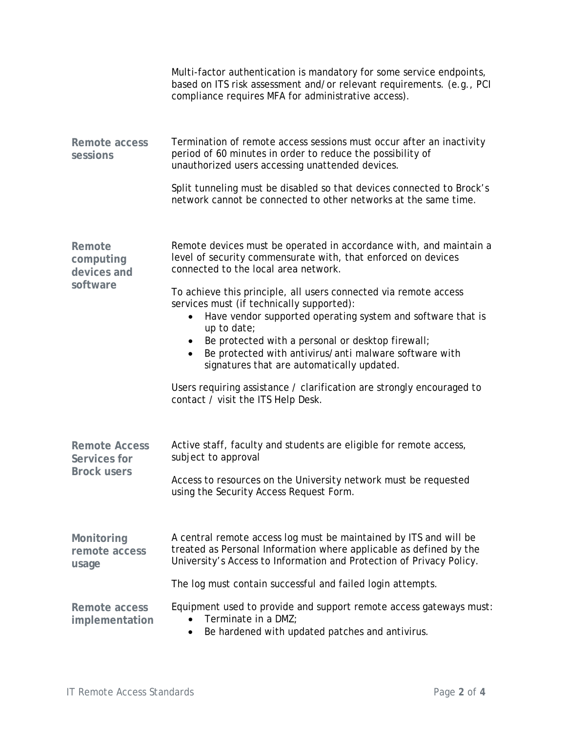|                                                            | Multi-factor authentication is mandatory for some service endpoints,<br>based on ITS risk assessment and/or relevant requirements. (e.g., PCI<br>compliance requires MFA for administrative access).                                                                                                                                                                  |
|------------------------------------------------------------|-----------------------------------------------------------------------------------------------------------------------------------------------------------------------------------------------------------------------------------------------------------------------------------------------------------------------------------------------------------------------|
| Remote access<br>sessions                                  | Termination of remote access sessions must occur after an inactivity<br>period of 60 minutes in order to reduce the possibility of<br>unauthorized users accessing unattended devices.                                                                                                                                                                                |
|                                                            | Split tunneling must be disabled so that devices connected to Brock's<br>network cannot be connected to other networks at the same time.                                                                                                                                                                                                                              |
| Remote<br>computing<br>devices and<br>software             | Remote devices must be operated in accordance with, and maintain a<br>level of security commensurate with, that enforced on devices<br>connected to the local area network.                                                                                                                                                                                           |
|                                                            | To achieve this principle, all users connected via remote access<br>services must (if technically supported):<br>Have vendor supported operating system and software that is<br>$\bullet$<br>up to date;<br>Be protected with a personal or desktop firewall;<br>Be protected with antivirus/anti malware software with<br>signatures that are automatically updated. |
|                                                            | Users requiring assistance / clarification are strongly encouraged to<br>contact / visit the ITS Help Desk.                                                                                                                                                                                                                                                           |
| <b>Remote Access</b><br>Services for<br><b>Brock users</b> | Active staff, faculty and students are eligible for remote access,<br>subject to approval                                                                                                                                                                                                                                                                             |
|                                                            | Access to resources on the University network must be requested<br>using the Security Access Request Form.                                                                                                                                                                                                                                                            |
| Monitoring<br>remote access<br>usage                       | A central remote access log must be maintained by ITS and will be<br>treated as Personal Information where applicable as defined by the<br>University's Access to Information and Protection of Privacy Policy.                                                                                                                                                       |
|                                                            | The log must contain successful and failed login attempts.                                                                                                                                                                                                                                                                                                            |
| Remote access<br>implementation                            | Equipment used to provide and support remote access gateways must:<br>Terminate in a DMZ;<br>Be hardened with updated patches and antivirus.<br>$\bullet$                                                                                                                                                                                                             |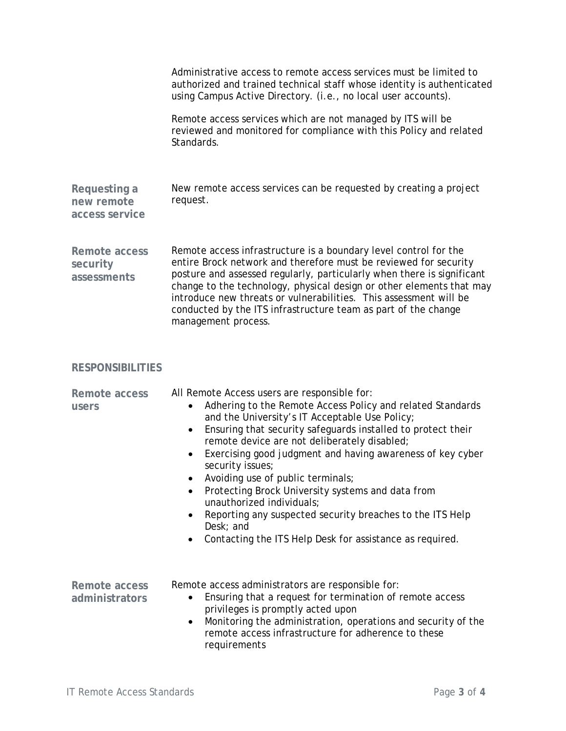|                                              | Administrative access to remote access services must be limited to<br>authorized and trained technical staff whose identity is authenticated<br>using Campus Active Directory. (i.e., no local user accounts).<br>Remote access services which are not managed by ITS will be<br>reviewed and monitored for compliance with this Policy and related<br>Standards.                                                                                                                                                                                                                                                                                                  |
|----------------------------------------------|--------------------------------------------------------------------------------------------------------------------------------------------------------------------------------------------------------------------------------------------------------------------------------------------------------------------------------------------------------------------------------------------------------------------------------------------------------------------------------------------------------------------------------------------------------------------------------------------------------------------------------------------------------------------|
| Requesting a<br>new remote<br>access service | New remote access services can be requested by creating a project<br>request.                                                                                                                                                                                                                                                                                                                                                                                                                                                                                                                                                                                      |
| Remote access<br>security<br>assessments     | Remote access infrastructure is a boundary level control for the<br>entire Brock network and therefore must be reviewed for security<br>posture and assessed regularly, particularly when there is significant<br>change to the technology, physical design or other elements that may<br>introduce new threats or vulnerabilities. This assessment will be<br>conducted by the ITS infrastructure team as part of the change<br>management process.                                                                                                                                                                                                               |
| <b>RESPONSIBILITIES</b>                      |                                                                                                                                                                                                                                                                                                                                                                                                                                                                                                                                                                                                                                                                    |
| Remote access<br>users                       | All Remote Access users are responsible for:<br>Adhering to the Remote Access Policy and related Standards<br>and the University's IT Acceptable Use Policy;<br>Ensuring that security safeguards installed to protect their<br>$\bullet$<br>remote device are not deliberately disabled;<br>Exercising good judgment and having awareness of key cyber<br>$\bullet$<br>security issues;<br>Avoiding use of public terminals;<br>Protecting Brock University systems and data from<br>unauthorized individuals;<br>Reporting any suspected security breaches to the ITS Help<br>$\bullet$<br>Desk; and<br>Contacting the ITS Help Desk for assistance as required. |
| Remote access<br>administrators              | Remote access administrators are responsible for:<br>Ensuring that a request for termination of remote access<br>privileges is promptly acted upon<br>Monitoring the administration, operations and security of the<br>$\bullet$<br>remote access infrastructure for adherence to these<br>requirements                                                                                                                                                                                                                                                                                                                                                            |